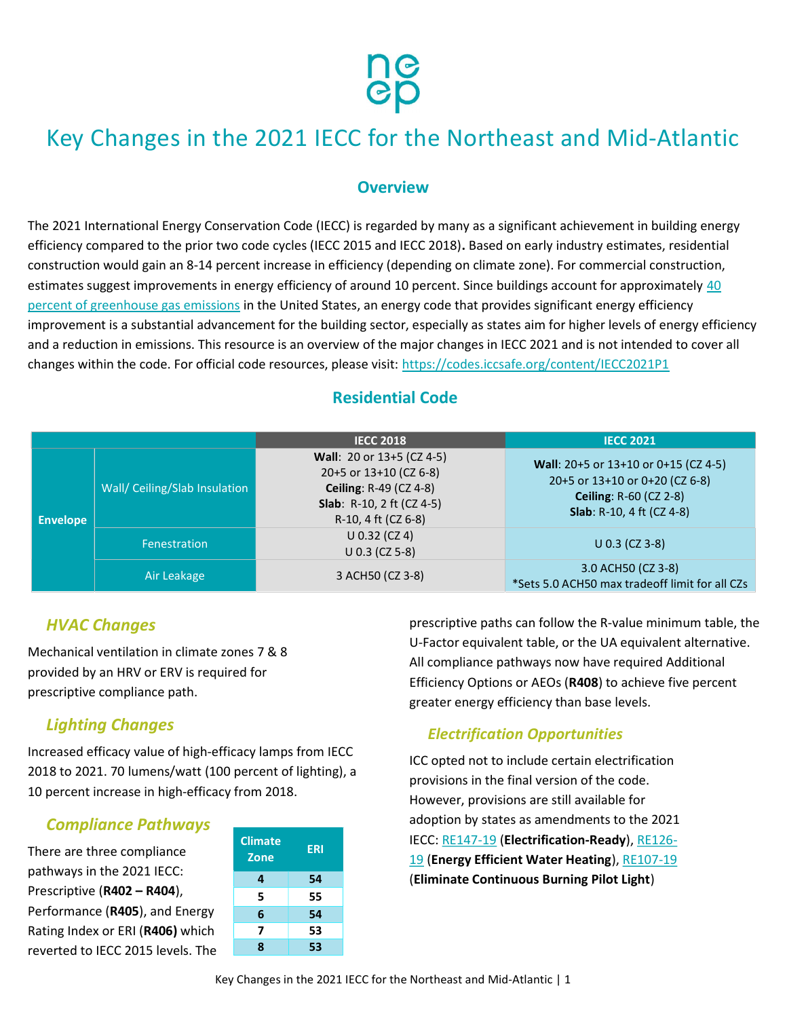

# Key Changes in the 2021 IECC for the Northeast and Mid-Atlantic

#### **Overview**

The 2021 International Energy Conservation Code (IECC) is regarded by many as a significant achievement in building energy efficiency compared to the prior two code cycles (IECC 2015 and IECC 2018). Based on early industry estimates, residential construction would gain an 8-14 percent increase in efficiency (depending on climate zone). For commercial construction, estimates suggest improvements in energy efficiency of around 10 percent. Since buildings account for approximately 40 percent of greenhouse gas emissions in the United States, an energy code that provides significant energy efficiency improvement is a substantial advancement for the building sector, especially as states aim for higher levels of energy efficiency and a reduction in emissions. This resource is an overview of the major changes in IECC 2021 and is not intended to cover all changes within the code. For official code resources, please visit: https://codes.iccsafe.org/content/IECC2021P1

## Residential Code

|                 |                               | <b>IECC 2018</b>                                                                                                                                 | <b>IECC 2021</b>                                                                                                                             |
|-----------------|-------------------------------|--------------------------------------------------------------------------------------------------------------------------------------------------|----------------------------------------------------------------------------------------------------------------------------------------------|
| <b>Envelope</b> | Wall/ Ceiling/Slab Insulation | Wall: 20 or 13+5 (CZ 4-5)<br>20+5 or 13+10 (CZ 6-8)<br><b>Ceiling: R-49 (CZ 4-8)</b><br><b>Slab</b> : R-10, 2 ft (CZ 4-5)<br>R-10, 4 ft (CZ 6-8) | Wall: 20+5 or 13+10 or 0+15 (CZ 4-5)<br>20+5 or 13+10 or 0+20 (CZ 6-8)<br><b>Ceiling: R-60 (CZ 2-8)</b><br><b>Slab</b> : R-10, 4 ft (CZ 4-8) |
|                 | <b>Fenestration</b>           | $U$ 0.32 (CZ 4)<br>$U$ 0.3 (CZ 5-8)                                                                                                              | $U$ 0.3 (CZ 3-8)                                                                                                                             |
|                 | Air Leakage                   | 3 ACH50 (CZ 3-8)                                                                                                                                 | 3.0 ACH50 (CZ 3-8)<br>*Sets 5.0 ACH50 max tradeoff limit for all CZs                                                                         |

#### HVAC Changes

Mechanical ventilation in climate zones 7 & 8 provided by an HRV or ERV is required for prescriptive compliance path.

## Lighting Changes

Increased efficacy value of high-efficacy lamps from IECC 2018 to 2021. 70 lumens/watt (100 percent of lighting), a 10 percent increase in high-efficacy from 2018.

## Compliance Pathways

There are three compliance pathways in the 2021 IECC: Prescriptive (R402 – R404), Performance (R405), and Energy Rating Index or ERI (R406) which reverted to IECC 2015 levels. The

| <b>Climate</b><br><b>Zone</b> | <b>ERI</b> |
|-------------------------------|------------|
| 4                             | 54         |
| 5                             | 55         |
| 6                             | 54         |
| 7                             | 53         |
| ጸ                             | 53         |

prescriptive paths can follow the R-value minimum table, the U-Factor equivalent table, or the UA equivalent alternative. All compliance pathways now have required Additional Efficiency Options or AEOs (R408) to achieve five percent greater energy efficiency than base levels.

## Electrification Opportunities

ICC opted not to include certain electrification provisions in the final version of the code. However, provisions are still available for adoption by states as amendments to the 2021 IECC: RE147-19 (Electrification-Ready), RE126-19 (Energy Efficient Water Heating), RE107-19 (Eliminate Continuous Burning Pilot Light)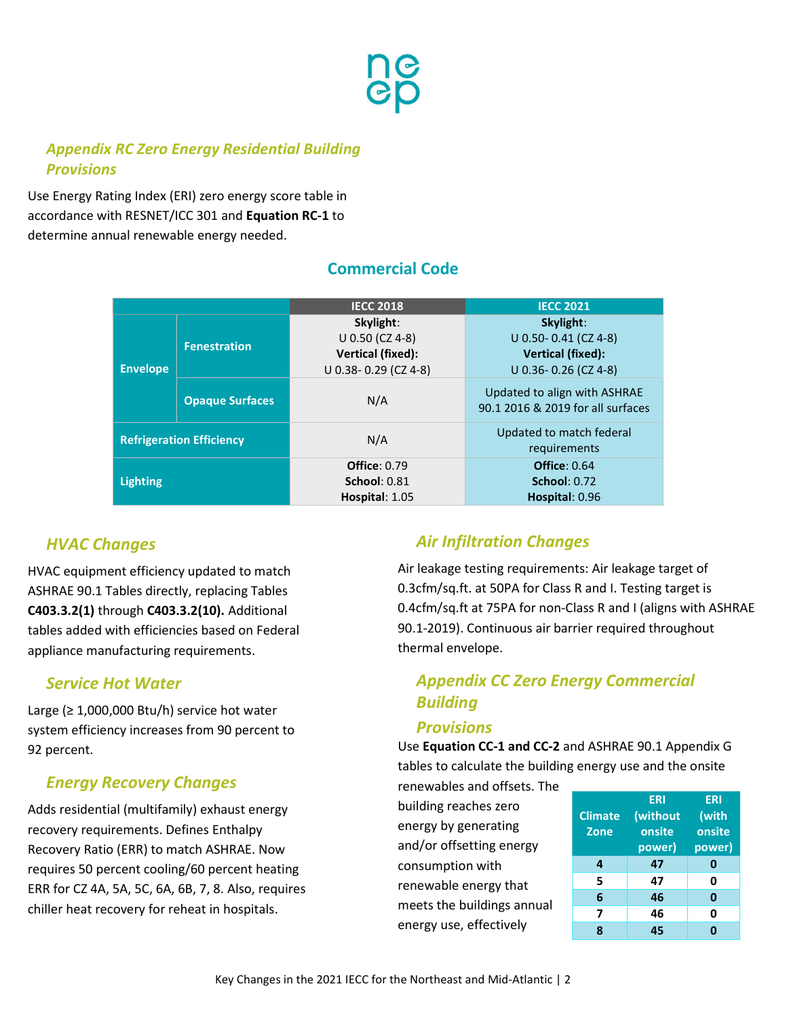

## Appendix RC Zero Energy Residential Building **Provisions**

Use Energy Rating Index (ERI) zero energy score table in accordance with RESNET/ICC 301 and Equation RC-1 to determine annual renewable energy needed.

|                                 |                        | <b>IECC 2018</b>                                                                 | <b>IECC 2021</b>                                                                           |
|---------------------------------|------------------------|----------------------------------------------------------------------------------|--------------------------------------------------------------------------------------------|
| <b>Envelope</b>                 | <b>Fenestration</b>    | Skylight:<br>U 0.50 (CZ 4-8)<br><b>Vertical (fixed):</b><br>U 0.38-0.29 (CZ 4-8) | Skylight:<br>$U$ 0.50- 0.41 (CZ 4-8)<br><b>Vertical (fixed):</b><br>$U$ 0.36-0.26 (CZ 4-8) |
|                                 | <b>Opaque Surfaces</b> | N/A                                                                              | Updated to align with ASHRAE<br>90.1 2016 & 2019 for all surfaces                          |
| <b>Refrigeration Efficiency</b> |                        | N/A                                                                              | Updated to match federal<br>requirements                                                   |
| <b>Lighting</b>                 |                        | <b>Office: 0.79</b><br><b>School: 0.81</b><br>Hospital: 1.05                     | <b>Office: 0.64</b><br><b>School: 0.72</b><br>Hospital: 0.96                               |

## Commercial Code

## HVAC Changes

HVAC equipment efficiency updated to match ASHRAE 90.1 Tables directly, replacing Tables C403.3.2(1) through C403.3.2(10). Additional tables added with efficiencies based on Federal appliance manufacturing requirements.

#### Service Hot Water

Large ( $\geq 1,000,000$  Btu/h) service hot water system efficiency increases from 90 percent to 92 percent.

## Energy Recovery Changes

Adds residential (multifamily) exhaust energy recovery requirements. Defines Enthalpy Recovery Ratio (ERR) to match ASHRAE. Now requires 50 percent cooling/60 percent heating ERR for CZ 4A, 5A, 5C, 6A, 6B, 7, 8. Also, requires chiller heat recovery for reheat in hospitals.

## Air Infiltration Changes

Air leakage testing requirements: Air leakage target of 0.3cfm/sq.ft. at 50PA for Class R and I. Testing target is 0.4cfm/sq.ft at 75PA for non-Class R and I (aligns with ASHRAE 90.1-2019). Continuous air barrier required throughout thermal envelope.

## Appendix CC Zero Energy Commercial Building

#### **Provisions**

Use Equation CC-1 and CC-2 and ASHRAE 90.1 Appendix G tables to calculate the building energy use and the onsite

renewables and offsets. The building reaches zero energy by generating and/or offsetting energy consumption with renewable energy that meets the buildings annual energy use, effectively

|                | <b>ERI</b> | <b>ERI</b> |
|----------------|------------|------------|
| <b>Climate</b> | (without   | (with      |
| <b>Zone</b>    | onsite     | onsite     |
|                | power)     | power)     |
| 4              | 47         | 0          |
| 5              | 47         | 0          |
| 6              | 46         | 0          |
| 7              | 46         | 0          |
|                | 45         |            |